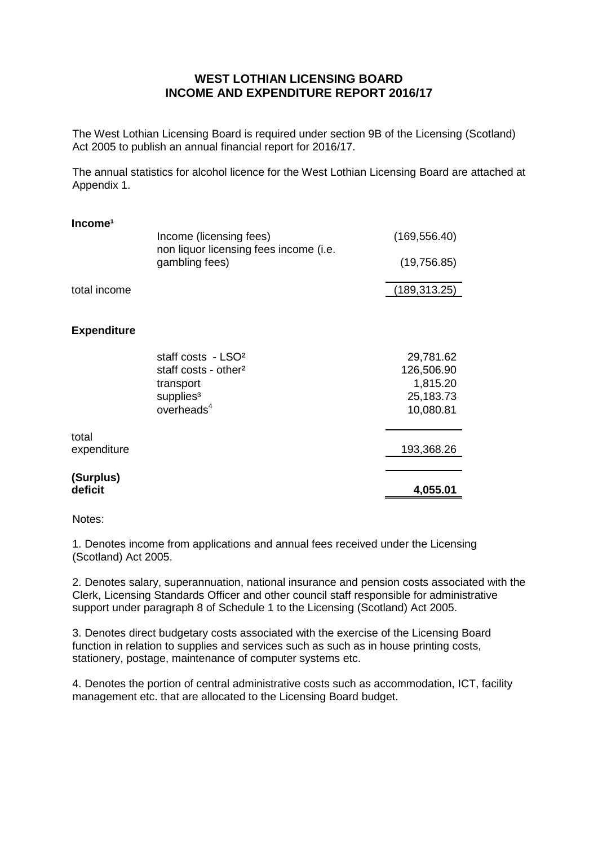## **WEST LOTHIAN LICENSING BOARD INCOME AND EXPENDITURE REPORT 2016/17**

The West Lothian Licensing Board is required under section 9B of the Licensing (Scotland) Act 2005 to publish an annual financial report for 2016/17.

The annual statistics for alcohol licence for the West Lothian Licensing Board are attached at Appendix 1.

| Income <sup>1</sup> |                                                                   |               |
|---------------------|-------------------------------------------------------------------|---------------|
|                     | Income (licensing fees)<br>non liquor licensing fees income (i.e. | (169, 556.40) |
|                     | gambling fees)                                                    | (19, 756.85)  |
| total income        |                                                                   | (189, 313.25) |
|                     |                                                                   |               |
| <b>Expenditure</b>  |                                                                   |               |
|                     | staff costs - LSO <sup>2</sup>                                    | 29,781.62     |
|                     | staff costs - other <sup>2</sup>                                  | 126,506.90    |
|                     | transport                                                         | 1,815.20      |
|                     | supplies <sup>3</sup>                                             | 25,183.73     |
|                     | overheads <sup>4</sup>                                            | 10,080.81     |
| total               |                                                                   |               |
| expenditure         |                                                                   | 193,368.26    |
| (Surplus)           |                                                                   |               |
| deficit             |                                                                   | 4,055.01      |

Notes:

1. Denotes income from applications and annual fees received under the Licensing (Scotland) Act 2005.

2. Denotes salary, superannuation, national insurance and pension costs associated with the Clerk, Licensing Standards Officer and other council staff responsible for administrative support under paragraph 8 of Schedule 1 to the Licensing (Scotland) Act 2005.

3. Denotes direct budgetary costs associated with the exercise of the Licensing Board function in relation to supplies and services such as such as in house printing costs, stationery, postage, maintenance of computer systems etc.

4. Denotes the portion of central administrative costs such as accommodation, ICT, facility management etc. that are allocated to the Licensing Board budget.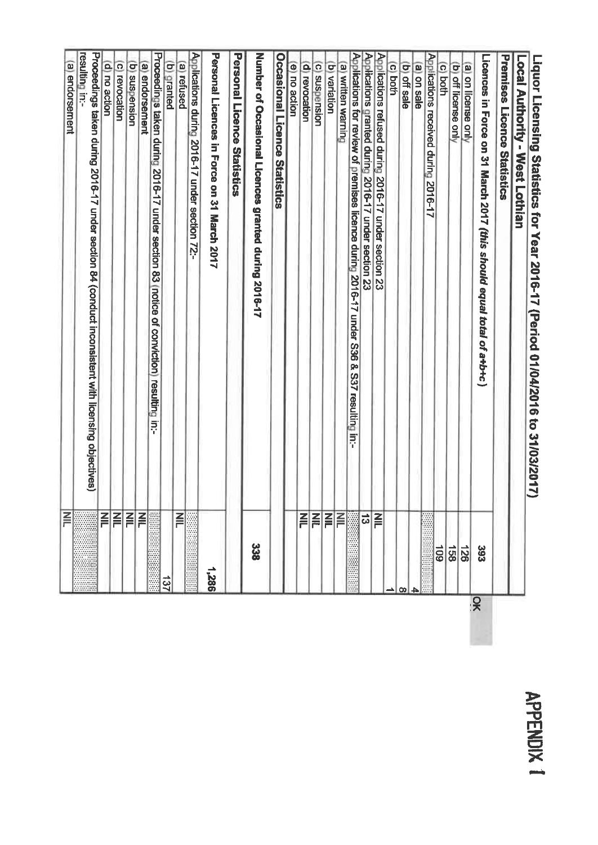## Proceedings taken during 2016-17 under section 84 (conduct inconsistent with licensing objectives) Proceedings taken during 2016-17 under section 83 (notice of conviction) resulting in:-Applications during 2016-17 under section 72:-Personal Licences in Force on 31 March 2017 Personal Licence Statistics Applications refused during 2016-17 under section 23<br>Applications granted during 2016-17 under section 23 resulting in:-Number of Occasional Licences granted during 2016-17 **Occasional Licence Statistics** Applications for review of premises licence during 2016-17 under S36 & S37 resulting in:-**Premises Licence Statistics** Applications received during 2016-17 Licences in Force on 31 March 2017 (this should equal total of a+b+c) Liquor Licensing Statistics for Year 2016-17 (Period 01/04/2016 to 31/03/2017) Local Authority - West Lothian (b) suspension (a) endorsement (a) endorsement (c) revocation (b) granted (a) refused (d) no action (e) no action (c) suspension (b) variation (a) written warning (a) on license only<br>(b) off license only (d) revocation c both (b) off sale (c) both a on sale F E  $\overline{\mathbf{z}}$ E  $\overline{\mathbf{r}}$ EEEE  $\frac{1}{3}$ E 338 601  $\frac{128}{128}$ 393 1,286 **181**  $\overline{S}$

**APPENDIX**